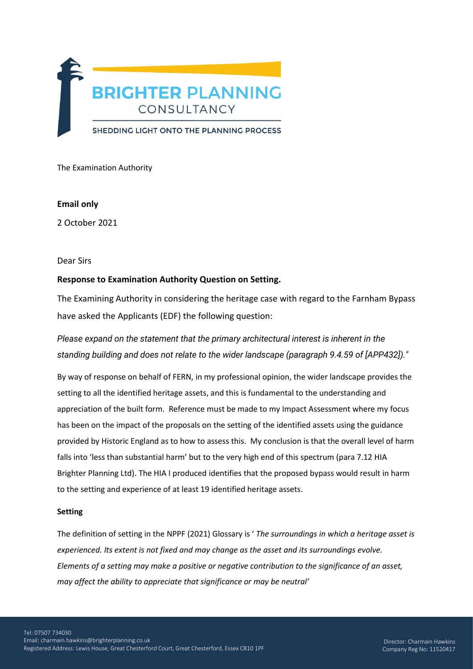

The Examination Authority

## **Email only**

2 October 2021

### Dear Sirs

# **Response to Examination Authority Question on Setting.**

The Examining Authority in considering the heritage case with regard to the Farnham Bypass have asked the Applicants (EDF) the following question:

*Please expand on the statement that the primary architectural interest is inherent in the standing building and does not relate to the wider landscape (paragraph 9.4.59 of [APP432])."*

By way of response on behalf of FERN, in my professional opinion, the wider landscape provides the setting to all the identified heritage assets, and this is fundamental to the understanding and appreciation of the built form. Reference must be made to my Impact Assessment where my focus has been on the impact of the proposals on the setting of the identified assets using the guidance provided by Historic England as to how to assess this. My conclusion is that the overall level of harm falls into 'less than substantial harm' but to the very high end of this spectrum (para 7.12 HIA Brighter Planning Ltd). The HIA I produced identifies that the proposed bypass would result in harm to the setting and experience of at least 19 identified heritage assets.

#### **Setting**

The definition of setting in the NPPF (2021) Glossary is ' *The surroundings in which a heritage asset is experienced. Its extent is not fixed and may change as the asset and its surroundings evolve. Elements of a setting may make a positive or negative contribution to the significance of an asset, may affect the ability to appreciate that significance or may be neutral'*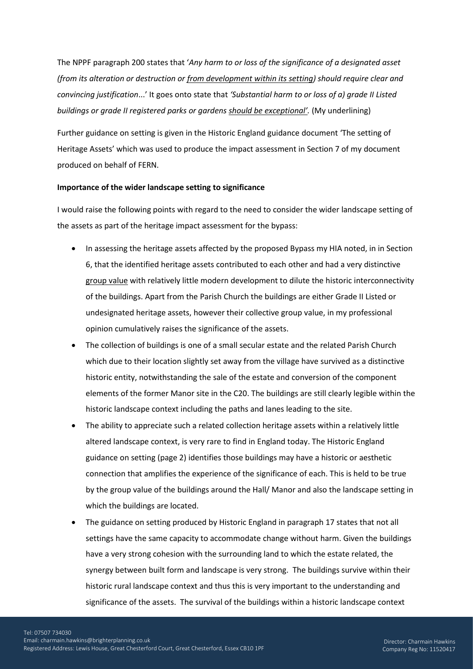The NPPF paragraph 200 states that '*Any harm to or loss of the significance of a designated asset (from its alteration or destruction or from development within its setting) should require clear and convincing justification*...' It goes onto state that *'Substantial harm to or loss of a) grade II Listed buildings or grade II registered parks or gardens should be exceptional'.* (My underlining)

Further guidance on setting is given in the Historic England guidance document 'The setting of Heritage Assets' which was used to produce the impact assessment in Section 7 of my document produced on behalf of FERN.

#### **Importance of the wider landscape setting to significance**

I would raise the following points with regard to the need to consider the wider landscape setting of the assets as part of the heritage impact assessment for the bypass:

- In assessing the heritage assets affected by the proposed Bypass my HIA noted, in in Section 6, that the identified heritage assets contributed to each other and had a very distinctive group value with relatively little modern development to dilute the historic interconnectivity of the buildings. Apart from the Parish Church the buildings are either Grade II Listed or undesignated heritage assets, however their collective group value, in my professional opinion cumulatively raises the significance of the assets.
- The collection of buildings is one of a small secular estate and the related Parish Church which due to their location slightly set away from the village have survived as a distinctive historic entity, notwithstanding the sale of the estate and conversion of the component elements of the former Manor site in the C20. The buildings are still clearly legible within the historic landscape context including the paths and lanes leading to the site.
- The ability to appreciate such a related collection heritage assets within a relatively little altered landscape context, is very rare to find in England today. The Historic England guidance on setting (page 2) identifies those buildings may have a historic or aesthetic connection that amplifies the experience of the significance of each. This is held to be true by the group value of the buildings around the Hall/ Manor and also the landscape setting in which the buildings are located.
- The guidance on setting produced by Historic England in paragraph 17 states that not all settings have the same capacity to accommodate change without harm. Given the buildings have a very strong cohesion with the surrounding land to which the estate related, the synergy between built form and landscape is very strong. The buildings survive within their historic rural landscape context and thus this is very important to the understanding and significance of the assets. The survival of the buildings within a historic landscape context